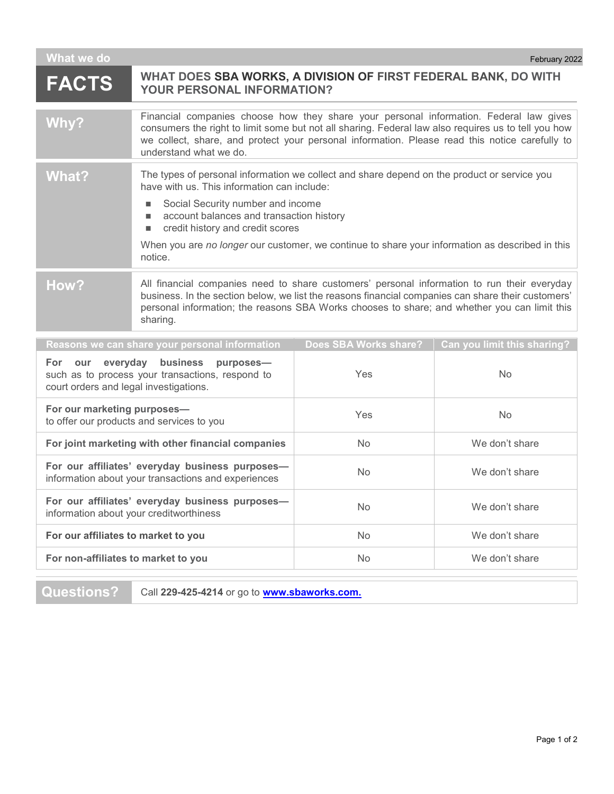| What we do<br>February 2022                                                                                                             |                                                                                                                                                                                                                                                                                                                           |           |                |
|-----------------------------------------------------------------------------------------------------------------------------------------|---------------------------------------------------------------------------------------------------------------------------------------------------------------------------------------------------------------------------------------------------------------------------------------------------------------------------|-----------|----------------|
| <b>FACTS</b>                                                                                                                            | WHAT DOES SBA WORKS, A DIVISION OF FIRST FEDERAL BANK, DO WITH<br><b>YOUR PERSONAL INFORMATION?</b>                                                                                                                                                                                                                       |           |                |
| Why?                                                                                                                                    | Financial companies choose how they share your personal information. Federal law gives<br>consumers the right to limit some but not all sharing. Federal law also requires us to tell you how<br>we collect, share, and protect your personal information. Please read this notice carefully to<br>understand what we do. |           |                |
| <b>What?</b>                                                                                                                            | The types of personal information we collect and share depend on the product or service you<br>have with us. This information can include:                                                                                                                                                                                |           |                |
|                                                                                                                                         | Social Security number and income<br>account balances and transaction history<br>credit history and credit scores<br>$\blacksquare$                                                                                                                                                                                       |           |                |
|                                                                                                                                         | When you are no longer our customer, we continue to share your information as described in this<br>notice.                                                                                                                                                                                                                |           |                |
| How?                                                                                                                                    | All financial companies need to share customers' personal information to run their everyday<br>business. In the section below, we list the reasons financial companies can share their customers'<br>personal information; the reasons SBA Works chooses to share; and whether you can limit this<br>sharing.             |           |                |
| Does SBA Works share?<br>Can you limit this sharing?<br>Reasons we can share your personal information                                  |                                                                                                                                                                                                                                                                                                                           |           |                |
| everyday business<br>For our<br>purposes-<br>such as to process your transactions, respond to<br>court orders and legal investigations. |                                                                                                                                                                                                                                                                                                                           | Yes       | No             |
| For our marketing purposes-<br>to offer our products and services to you                                                                |                                                                                                                                                                                                                                                                                                                           | Yes       | <b>No</b>      |
| For joint marketing with other financial companies                                                                                      |                                                                                                                                                                                                                                                                                                                           | <b>No</b> | We don't share |
| For our affiliates' everyday business purposes-<br>information about your transactions and experiences                                  |                                                                                                                                                                                                                                                                                                                           | <b>No</b> | We don't share |
| For our affiliates' everyday business purposes-<br>information about your creditworthiness                                              |                                                                                                                                                                                                                                                                                                                           | No        | We don't share |
| For our affiliates to market to you                                                                                                     |                                                                                                                                                                                                                                                                                                                           | <b>No</b> | We don't share |
| For non-affiliates to market to you                                                                                                     |                                                                                                                                                                                                                                                                                                                           | No        | We don't share |

**Questions?** Call **229-425-4214** or go to **[www.sbaworks.com.](http://www.sbaworks.com./)**